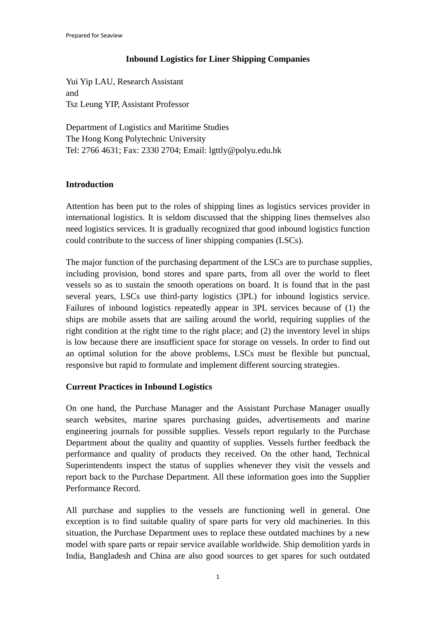## **Inbound Logistics for Liner Shipping Companies**

Yui Yip LAU, Research Assistant and Tsz Leung YIP, Assistant Professor

Department of Logistics and Maritime Studies The Hong Kong Polytechnic University Tel: 2766 4631; Fax: 2330 2704; Email: lgttly@polyu.edu.hk

## **Introduction**

Attention has been put to the roles of shipping lines as logistics services provider in international logistics. It is seldom discussed that the shipping lines themselves also need logistics services. It is gradually recognized that good inbound logistics function could contribute to the success of liner shipping companies (LSCs).

The major function of the purchasing department of the LSCs are to purchase supplies, including provision, bond stores and spare parts, from all over the world to fleet vessels so as to sustain the smooth operations on board. It is found that in the past several years, LSCs use third-party logistics (3PL) for inbound logistics service. Failures of inbound logistics repeatedly appear in 3PL services because of (1) the ships are mobile assets that are sailing around the world, requiring supplies of the right condition at the right time to the right place; and (2) the inventory level in ships is low because there are insufficient space for storage on vessels. In order to find out an optimal solution for the above problems, LSCs must be flexible but punctual, responsive but rapid to formulate and implement different sourcing strategies.

## **Current Practices in Inbound Logistics**

On one hand, the Purchase Manager and the Assistant Purchase Manager usually search websites, marine spares purchasing guides, advertisements and marine engineering journals for possible supplies. Vessels report regularly to the Purchase Department about the quality and quantity of supplies. Vessels further feedback the performance and quality of products they received. On the other hand, Technical Superintendents inspect the status of supplies whenever they visit the vessels and report back to the Purchase Department. All these information goes into the Supplier Performance Record.

All purchase and supplies to the vessels are functioning well in general. One exception is to find suitable quality of spare parts for very old machineries. In this situation, the Purchase Department uses to replace these outdated machines by a new model with spare parts or repair service available worldwide. Ship demolition yards in India, Bangladesh and China are also good sources to get spares for such outdated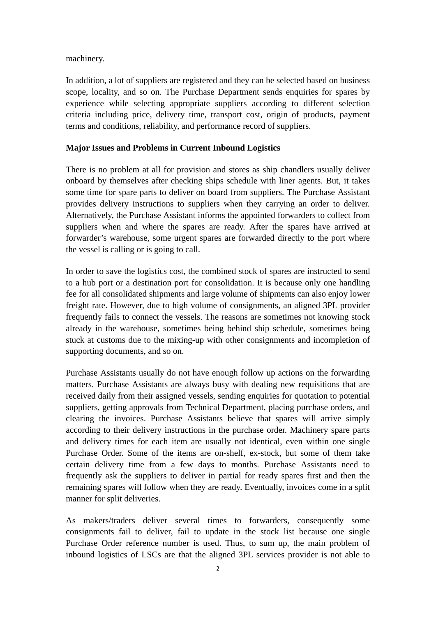machinery.

In addition, a lot of suppliers are registered and they can be selected based on business scope, locality, and so on. The Purchase Department sends enquiries for spares by experience while selecting appropriate suppliers according to different selection criteria including price, delivery time, transport cost, origin of products, payment terms and conditions, reliability, and performance record of suppliers.

### **Major Issues and Problems in Current Inbound Logistics**

There is no problem at all for provision and stores as ship chandlers usually deliver onboard by themselves after checking ships schedule with liner agents. But, it takes some time for spare parts to deliver on board from suppliers. The Purchase Assistant provides delivery instructions to suppliers when they carrying an order to deliver. Alternatively, the Purchase Assistant informs the appointed forwarders to collect from suppliers when and where the spares are ready. After the spares have arrived at forwarder's warehouse, some urgent spares are forwarded directly to the port where the vessel is calling or is going to call.

In order to save the logistics cost, the combined stock of spares are instructed to send to a hub port or a destination port for consolidation. It is because only one handling fee for all consolidated shipments and large volume of shipments can also enjoy lower freight rate. However, due to high volume of consignments, an aligned 3PL provider frequently fails to connect the vessels. The reasons are sometimes not knowing stock already in the warehouse, sometimes being behind ship schedule, sometimes being stuck at customs due to the mixing-up with other consignments and incompletion of supporting documents, and so on.

Purchase Assistants usually do not have enough follow up actions on the forwarding matters. Purchase Assistants are always busy with dealing new requisitions that are received daily from their assigned vessels, sending enquiries for quotation to potential suppliers, getting approvals from Technical Department, placing purchase orders, and clearing the invoices. Purchase Assistants believe that spares will arrive simply according to their delivery instructions in the purchase order. Machinery spare parts and delivery times for each item are usually not identical, even within one single Purchase Order. Some of the items are on-shelf, ex-stock, but some of them take certain delivery time from a few days to months. Purchase Assistants need to frequently ask the suppliers to deliver in partial for ready spares first and then the remaining spares will follow when they are ready. Eventually, invoices come in a split manner for split deliveries.

As makers/traders deliver several times to forwarders, consequently some consignments fail to deliver, fail to update in the stock list because one single Purchase Order reference number is used. Thus, to sum up, the main problem of inbound logistics of LSCs are that the aligned 3PL services provider is not able to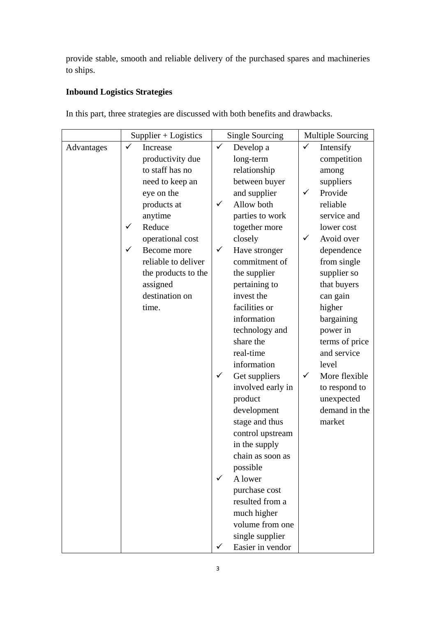provide stable, smooth and reliable delivery of the purchased spares and machineries to ships.

# **Inbound Logistics Strategies**

|            | $Supplier + Logistics$ | Single Sourcing               | <b>Multiple Sourcing</b>   |
|------------|------------------------|-------------------------------|----------------------------|
| Advantages | ✓<br>Increase          | $\checkmark$<br>Develop a     | $\checkmark$<br>Intensify  |
|            | productivity due       | long-term                     | competition                |
|            | to staff has no        | relationship                  | among                      |
|            | need to keep an        | between buyer                 | suppliers                  |
|            | eye on the             | and supplier                  | Provide<br>✓               |
|            | products at            | Allow both<br>$\checkmark$    | reliable                   |
|            | anytime                | parties to work               | service and                |
|            | Reduce<br>✓            | together more                 | lower cost                 |
|            | operational cost       | closely                       | Avoid over<br>$\checkmark$ |
|            | ✓<br>Become more       | $\checkmark$<br>Have stronger | dependence                 |
|            | reliable to deliver    | commitment of                 | from single                |
|            | the products to the    | the supplier                  | supplier so                |
|            | assigned               | pertaining to                 | that buyers                |
|            | destination on         | invest the                    | can gain                   |
|            | time.                  | facilities or                 | higher                     |
|            |                        | information                   | bargaining                 |
|            |                        | technology and                | power in                   |
|            |                        | share the                     | terms of price             |
|            |                        | real-time                     | and service                |
|            |                        | information                   | level                      |
|            |                        | $\checkmark$<br>Get suppliers | ✓<br>More flexible         |
|            |                        | involved early in             | to respond to              |
|            |                        | product                       | unexpected                 |
|            |                        | development                   | demand in the              |
|            |                        | stage and thus                | market                     |
|            |                        | control upstream              |                            |
|            |                        | in the supply                 |                            |
|            |                        | chain as soon as              |                            |
|            |                        | possible                      |                            |
|            |                        | A lower<br>✓                  |                            |
|            |                        | purchase cost                 |                            |
|            |                        | resulted from a               |                            |
|            |                        | much higher                   |                            |
|            |                        | volume from one               |                            |
|            |                        | single supplier               |                            |
|            |                        | Easier in vendor<br>✓         |                            |

In this part, three strategies are discussed with both benefits and drawbacks.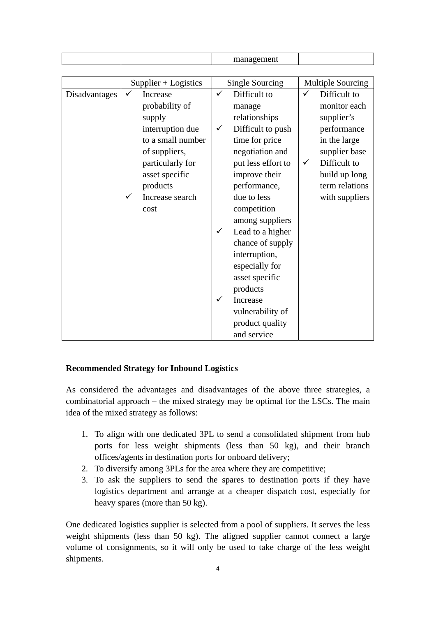| management                                                                                                                                                                                                                                                                                                                                                                                                                 |                                                                                                                                                                                      |
|----------------------------------------------------------------------------------------------------------------------------------------------------------------------------------------------------------------------------------------------------------------------------------------------------------------------------------------------------------------------------------------------------------------------------|--------------------------------------------------------------------------------------------------------------------------------------------------------------------------------------|
|                                                                                                                                                                                                                                                                                                                                                                                                                            |                                                                                                                                                                                      |
| <b>Single Sourcing</b>                                                                                                                                                                                                                                                                                                                                                                                                     | <b>Multiple Sourcing</b>                                                                                                                                                             |
| Difficult to<br>$\checkmark$<br>manage<br>relationships<br>Difficult to push<br>$\checkmark$<br>time for price<br>negotiation and<br>put less effort to<br>improve their<br>performance,<br>due to less<br>competition<br>among suppliers<br>Lead to a higher<br>$\checkmark$<br>chance of supply<br>interruption,<br>especially for<br>asset specific<br>products<br>Increase<br>✓<br>vulnerability of<br>product quality | ✓<br>Difficult to<br>monitor each<br>supplier's<br>performance<br>in the large<br>supplier base<br>Difficult to<br>$\checkmark$<br>build up long<br>term relations<br>with suppliers |
| $Supplier + Logistics$<br>interruption due                                                                                                                                                                                                                                                                                                                                                                                 | to a small number<br>and service                                                                                                                                                     |

## **Recommended Strategy for Inbound Logistics**

As considered the advantages and disadvantages of the above three strategies, a combinatorial approach – the mixed strategy may be optimal for the LSCs. The main idea of the mixed strategy as follows:

- 1. To align with one dedicated 3PL to send a consolidated shipment from hub ports for less weight shipments (less than 50 kg), and their branch offices/agents in destination ports for onboard delivery;
- 2. To diversify among 3PLs for the area where they are competitive;
- 3. To ask the suppliers to send the spares to destination ports if they have logistics department and arrange at a cheaper dispatch cost, especially for heavy spares (more than 50 kg).

One dedicated logistics supplier is selected from a pool of suppliers. It serves the less weight shipments (less than 50 kg). The aligned supplier cannot connect a large volume of consignments, so it will only be used to take charge of the less weight shipments.